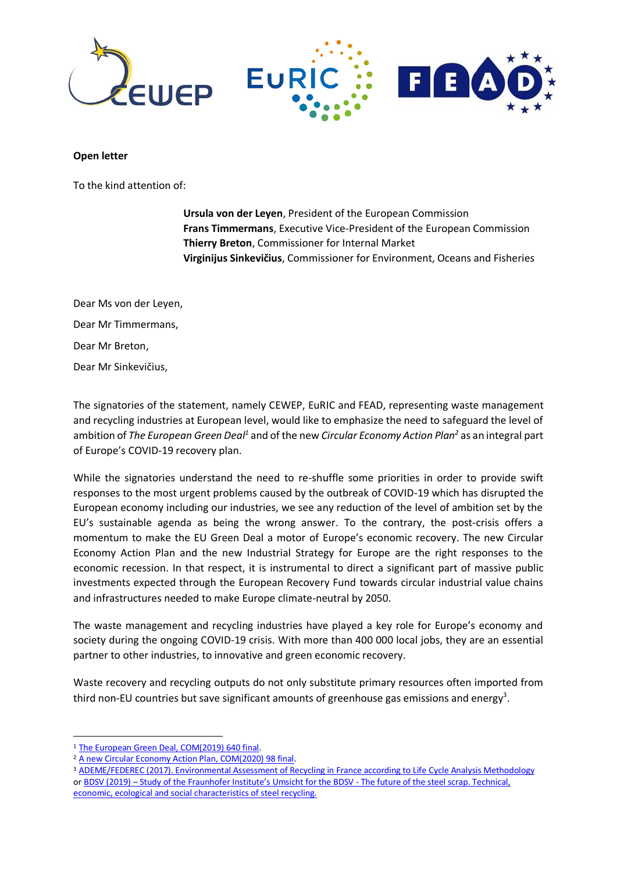

## **Open letter**

To the kind attention of:

**Ursula von der Leyen**, President of the European Commission **Frans Timmermans**, Executive Vice-President of the European Commission **Thierry Breton**, Commissioner for Internal Market **Virginijus Sinkevičius**, Commissioner for Environment, Oceans and Fisheries

Dear Ms von der Leyen, Dear Mr Timmermans, Dear Mr Breton, Dear Mr Sinkevičius,

The signatories of the statement, namely CEWEP, EuRIC and FEAD, representing waste management and recycling industries at European level, would like to emphasize the need to safeguard the level of ambition of *The European Green Deal<sup>1</sup> and of the new Circular Economy Action Plan<sup>2</sup> as an integral part* of Europe's COVID-19 recovery plan.

While the signatories understand the need to re-shuffle some priorities in order to provide swift responses to the most urgent problems caused by the outbreak of COVID-19 which has disrupted the European economy including our industries, we see any reduction of the level of ambition set by the EU's sustainable agenda as being the wrong answer. To the contrary, the post-crisis offers a momentum to make the EU Green Deal a motor of Europe's economic recovery. The new Circular Economy Action Plan and the new Industrial Strategy for Europe are the right responses to the economic recession. In that respect, it is instrumental to direct a significant part of massive public investments expected through the European Recovery Fund towards circular industrial value chains and infrastructures needed to make Europe climate-neutral by 2050.

The waste management and recycling industries have played a key role for Europe's economy and society during the ongoing COVID-19 crisis. With more than 400 000 local jobs, they are an essential partner to other industries, to innovative and green economic recovery.

Waste recovery and recycling outputs do not only substitute primary resources often imported from third non-EU countries but save significant amounts of greenhouse gas emissions and energy<sup>3</sup>.

**.** 

<sup>3</sup> [ADEME/FEDEREC \(2017\). Environmental Assessment of Recycling in France according to Life Cycle Analysis Methodology](https://presse.ademe.fr/wp-content/uploads/2017/05/FEDEREC_ACV-du-Recyclage-en-France-VF.pdf) or BDSV (2019) – [Study of the Fraunhofer Institute's Umsicht for the BDSV](https://www.bdsv.org/fileadmin/user_upload/Study_Scrap_Bonus.pdf) - The future of the steel scrap. Technical, [economic, ecological and social characteristics of steel recycling.](https://www.bdsv.org/fileadmin/user_upload/Study_Scrap_Bonus.pdf) 

<sup>1</sup> [The European Green Deal, COM\(2019\) 640 final.](https://ec.europa.eu/info/sites/info/files/european-green-deal-communication_en.pdf)

<sup>2</sup> [A new Circular Economy Action Plan, COM\(2020\) 98 final.](https://eur-lex.europa.eu/legal-content/EN/TXT/?qid=1583933814386&uri=COM:2020:98:FIN)